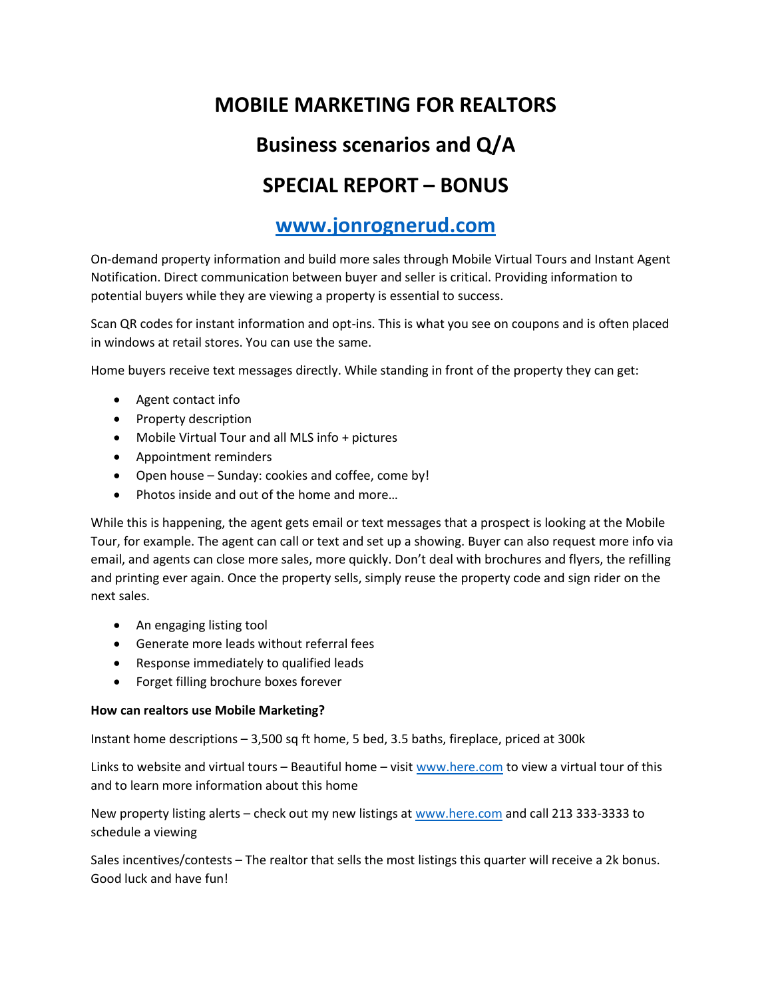# **MOBILE MARKETING FOR REALTORS**

# **Business scenarios and Q/A**

# **SPECIAL REPORT – BONUS**

### **[www.jonrognerud.com](http://www.jonrognerud.com/)**

On-demand property information and build more sales through Mobile Virtual Tours and Instant Agent Notification. Direct communication between buyer and seller is critical. Providing information to potential buyers while they are viewing a property is essential to success.

Scan QR codes for instant information and opt-ins. This is what you see on coupons and is often placed in windows at retail stores. You can use the same.

Home buyers receive text messages directly. While standing in front of the property they can get:

- Agent contact info
- Property description
- Mobile Virtual Tour and all MLS info + pictures
- Appointment reminders
- Open house Sunday: cookies and coffee, come by!
- Photos inside and out of the home and more...

While this is happening, the agent gets email or text messages that a prospect is looking at the Mobile Tour, for example. The agent can call or text and set up a showing. Buyer can also request more info via email, and agents can close more sales, more quickly. Don't deal with brochures and flyers, the refilling and printing ever again. Once the property sells, simply reuse the property code and sign rider on the next sales.

- An engaging listing tool
- Generate more leads without referral fees
- Response immediately to qualified leads
- Forget filling brochure boxes forever

#### **How can realtors use Mobile Marketing?**

Instant home descriptions – 3,500 sq ft home, 5 bed, 3.5 baths, fireplace, priced at 300k

Links to website and virtual tours – Beautiful home – visit [www.here.com](http://www.here.com/) to view a virtual tour of this and to learn more information about this home

New property listing alerts – check out my new listings a[t www.here.com](http://www.here.com/) and call 213 333-3333 to schedule a viewing

Sales incentives/contests – The realtor that sells the most listings this quarter will receive a 2k bonus. Good luck and have fun!